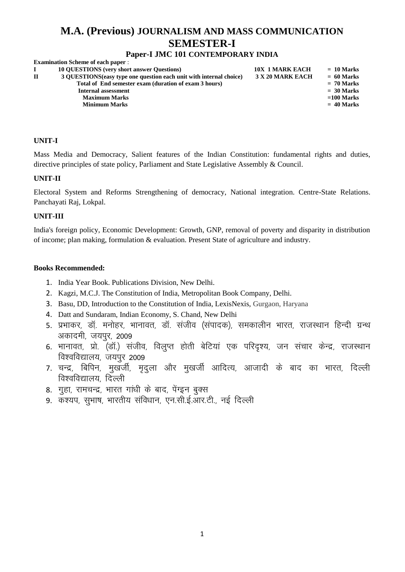# **M.A. (Previous) JOURNALISM AND MASS COMMUNICATION SEMESTER-I**

# **Paper-I JMC 101 CONTEMPORARY INDIA**

| <b>Examination Scheme of each paper:</b>                            |                        |              |
|---------------------------------------------------------------------|------------------------|--------------|
| <b>10 OUESTIONS</b> (very short answer Questions)                   | <b>10X 1 MARK EACH</b> | $= 10$ Marks |
| 3 OUESTIONS (easy type one question each unit with internal choice) | 3 X 20 MARK EACH       | $= 60$ Marks |
| Total of End semester exam (duration of exam 3 hours)               |                        | $= 70$ Marks |
| Internal assessment                                                 |                        | $= 30$ Marks |
| <b>Maximum Marks</b>                                                |                        | $=100$ Marks |
| <b>Minimum Marks</b>                                                |                        | $= 40$ Marks |
|                                                                     |                        |              |

#### **UNIT-I**

Mass Media and Democracy, Salient features of the Indian Constitution: fundamental rights and duties, directive principles of state policy, Parliament and State Legislative Assembly & Council.

#### **UNIT-II**

Electoral System and Reforms Strengthening of democracy, National integration. Centre-State Relations. Panchayati Raj, Lokpal.

#### **UNIT-III**

India's foreign policy, Economic Development: Growth, GNP, removal of poverty and disparity in distribution of income; plan making, formulation & evaluation. Present State of agriculture and industry.

- 1. India Year Book. Publications Division, New Delhi.
- 2. Kagzi, M.C.J. The Constitution of India, Metropolitan Book Company, Delhi.
- 3. Basu, DD, Introduction to the Constitution of India, LexisNexis, Gurgaon, Haryana
- 4. Datt and Sundaram, Indian Economy, S. Chand, New Delhi
- 5. प्रभाकर, डॉ. मनोहर, भानावत, डॉ. संजीव (संपादक), समकालीन भारत, राजस्थान हिन्दी ग्रन्थ अकादमी, जयपुर, 2009
- 6. भानावत, प्रो. (डॉ.) संजीव, विलप्त होती बेटियां एक परिदश्य, जन संचार केन्द्र, राजस्थान विश्वविद्यालय, जयपर 2009
- 7. चन्द्र, बिपिन, मखर्जी, मदला और मखर्जी आदित्य, आजादी के बाद का भारत, दिल्ली विश्वविद्यालय, दिल्ली
- 8. गूहा, रामचन्द्र, भारत गांधी के बाद, पेंग्इन बुक्स
- 9. कश्यप, सभाष, भारतीय संविधान, एन.सी.ई.आर.टी., नई दिल्ली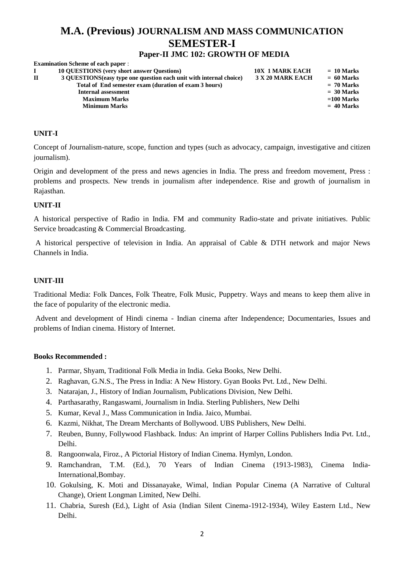# **M.A. (Previous) JOURNALISM AND MASS COMMUNICATION SEMESTER-I**

# **Paper-II JMC 102: GROWTH OF MEDIA**

| <b>Examination Scheme of each paper:</b>                            |                        |              |
|---------------------------------------------------------------------|------------------------|--------------|
| <b>10 OUESTIONS</b> (very short answer Ouestions)                   | <b>10X 1 MARK EACH</b> | $= 10$ Marks |
| 3 QUESTIONS (easy type one question each unit with internal choice) | 3 X 20 MARK EACH       | $= 60$ Marks |
| Total of End semester exam (duration of exam 3 hours)               |                        | $= 70$ Marks |
| Internal assessment                                                 |                        | $= 30$ Marks |
| <b>Maximum Marks</b>                                                |                        | $=100$ Marks |
| <b>Minimum Marks</b>                                                |                        | $= 40$ Marks |
|                                                                     |                        |              |

#### **UNIT-I**

Concept of Journalism-nature, scope, function and types (such as advocacy, campaign, investigative and citizen journalism).

Origin and development of the press and news agencies in India. The press and freedom movement, Press : problems and prospects. New trends in journalism after independence. Rise and growth of journalism in Rajasthan.

#### **UNIT-II**

A historical perspective of Radio in India. FM and community Radio-state and private initiatives. Public Service broadcasting & Commercial Broadcasting.

A historical perspective of television in India. An appraisal of Cable & DTH network and major News Channels in India.

#### **UNIT-III**

Traditional Media: Folk Dances, Folk Theatre, Folk Music, Puppetry. Ways and means to keep them alive in the face of popularity of the electronic media.

Advent and development of Hindi cinema - Indian cinema after Independence; Documentaries, Issues and problems of Indian cinema. History of Internet.

- 1. Parmar, Shyam, Traditional Folk Media in India. Geka Books, New Delhi.
- 2. Raghavan, G.N.S., The Press in India: A New History. Gyan Books Pvt. Ltd., New Delhi.
- 3. Natarajan, J., History of Indian Journalism, Publications Division, New Delhi.
- 4. Parthasarathy, Rangaswami, Journalism in India. Sterling Publishers, New Delhi
- 5. Kumar, Keval J., Mass Communication in India. Jaico, Mumbai.
- 6. Kazmi, Nikhat, The Dream Merchants of Bollywood. UBS Publishers, New Delhi.
- 7. Reuben, Bunny, Follywood Flashback. Indus: An imprint of Harper Collins Publishers India Pvt. Ltd., Delhi.
- 8. Rangoonwala, Firoz., A Pictorial History of Indian Cinema. Hymlyn, London.
- 9. Ramchandran, T.M. (Ed.), 70 Years of Indian Cinema (1913-1983), Cinema India-International,Bombay.
- 10. Gokulsing, K. Moti and Dissanayake, Wimal, Indian Popular Cinema (A Narrative of Cultural Change), Orient Longman Limited, New Delhi.
- 11. Chabria, Suresh (Ed.), Light of Asia (Indian Silent Cinema-1912-1934), Wiley Eastern Ltd., New Delhi.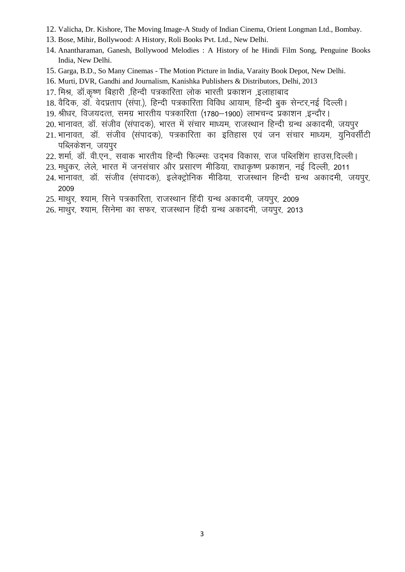- 12. Valicha, Dr. Kishore, The Moving Image-A Study of Indian Cinema, Orient Longman Ltd., Bombay.
- 13. Bose, Mihir, Bollywood: A History, Roli Books Pvt. Ltd., New Delhi.
- 14. Anantharaman, Ganesh, Bollywood Melodies : A History of he Hindi Film Song, Penguine Books India, New Delhi.
- 15. Garga, B.D., So Many Cinemas The Motion Picture in India, Varaity Book Depot, New Delhi.
- 16. Murti, DVR, Gandhi and Journalism, Kanishka Publishers & Distributors, Delhi, 2013
- 17. मिश्र, डॉ.कृष्ण बिहारी ,हिन्दी पत्रकारिता लोक भारती प्रकाशन ,इलाहाबाद
- 18. वैदिक, डॉ. वेदप्रताप (सपा.), हिन्दी पत्रकारिता विविध आयाम, हिन्दी बुक सेन्टर,नई दिल्ली।
- 19. श्रीधर, विजयदत्त, समग्र भारतीय पत्रकारिता (1780–1900) लाभचन्द प्रकाशन ,इन्दौर।
- 20. भानावत, डॉ. संजीव (संपादक), भारत में संचार माध्यम, राजस्थान हिन्दी ग्रन्थ अकादमी, जयपुर
- 21. भानावत, डॉ. संजीव (संपादक), पत्रकारिता का इतिहास एवं जन संचार माध्यम, यूनिवर्सीटी पब्लिकेशन, जयपुर
- 22. शर्मा, डॉ. वी.एन., सवाक भारतीय हिन्दी फिल्म्सः उद्भव विकास, राज पब्लिशिंग हाउस,दिल्ली।
- 23. मधुकर, लेले, भारत में जनसंचार और प्रसारण मीडिया, राधाकृष्ण प्रकाशन, नई दिल्ली, 2011
- 24. भानावत, डॉ. संजीव (संपादक), इलेक्ट्रोनिक मीडिया, राजस्थान हिन्दी ग्रन्थ अकादमी, जयपुर, 2009
- 25. माथुर, श्याम, सिने पत्रकारिता, राजस्थान हिंदी ग्रन्थ अकादमी, जयपुर, 2009
- 26. माथुर, श्याम, सिनेमा का सफर, राजस्थान हिंदी ग्रन्थ अकादमी, जयपुर, 2013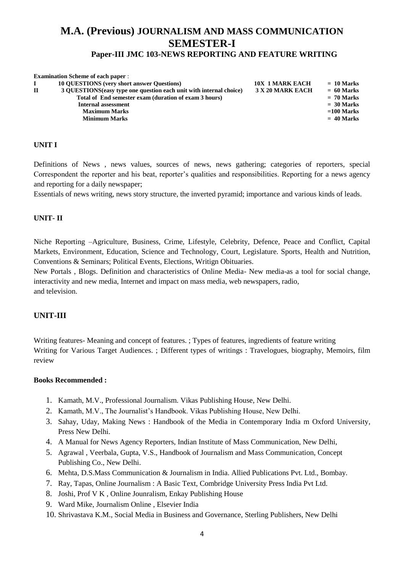# **M.A. (Previous) JOURNALISM AND MASS COMMUNICATION SEMESTER-I**

# **Paper-III JMC 103-NEWS REPORTING AND FEATURE WRITING**

|   | <b>Examination Scheme of each paper:</b>                            |                        |              |
|---|---------------------------------------------------------------------|------------------------|--------------|
|   | <b>10 OUESTIONS</b> (very short answer Questions)                   | <b>10X 1 MARK EACH</b> | $= 10$ Marks |
| П | 3 QUESTIONS (easy type one question each unit with internal choice) | 3 X 20 MARK EACH       | $= 60$ Marks |
|   | Total of End semester exam (duration of exam 3 hours)               |                        | $= 70$ Marks |
|   | <b>Internal assessment</b>                                          |                        | $= 30$ Marks |
|   | <b>Maximum Marks</b>                                                |                        | $=100$ Marks |
|   | <b>Minimum Marks</b>                                                |                        | $= 40$ Marks |
|   |                                                                     |                        |              |

#### **UNIT I**

Definitions of News , news values, sources of news, news gathering; categories of reporters, special Correspondent the reporter and his beat, reporter's qualities and responsibilities. Reporting for a news agency and reporting for a daily newspaper;

Essentials of news writing, news story structure, the inverted pyramid; importance and various kinds of leads.

#### **UNIT- II**

Niche Reporting –Agriculture, Business, Crime, Lifestyle, Celebrity, Defence, Peace and Conflict, Capital Markets, Environment, Education, Science and Technology, Court, Legislature. Sports, Health and Nutrition, Conventions & Seminars; Political Events, Elections, Writign Obituaries.

New Portals , Blogs. Definition and characteristics of Online Media- New media-as a tool for social change, interactivity and new media, Internet and impact on mass media, web newspapers, radio, and television.

# **UNIT-III**

Writing features- Meaning and concept of features. ; Types of features, ingredients of feature writing Writing for Various Target Audiences. ; Different types of writings : Travelogues, biography, Memoirs, film review

- 1. Kamath, M.V., Professional Journalism. Vikas Publishing House, New Delhi.
- 2. Kamath, M.V., The Journalist's Handbook. Vikas Publishing House, New Delhi.
- 3. Sahay, Uday, Making News : Handbook of the Media in Contemporary India m Oxford University, Press New Delhi.
- 4. A Manual for News Agency Reporters, Indian Institute of Mass Communication, New Delhi,
- 5. Agrawal , Veerbala, Gupta, V.S., Handbook of Journalism and Mass Communication, Concept Publishing Co., New Delhi.
- 6. Mehta, D.S.Mass Communication & Journalism in India. Allied Publications Pvt. Ltd., Bombay.
- 7. Ray, Tapas, Online Journalism : A Basic Text, Combridge University Press India Pvt Ltd.
- 8. Joshi, Prof V K , Online Jounralism, Enkay Publishing House
- 9. Ward Mike, Journalism Online , Elsevier India
- 10. Shrivastava K.M., Social Media in Business and Governance, Sterling Publishers, New Delhi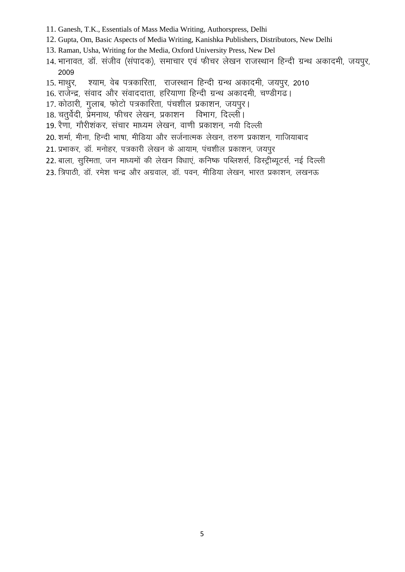- 11. Ganesh, T.K., Essentials of Mass Media Writing, Authorspress, Delhi
- 12. Gupta, Om, Basic Aspects of Media Writing, Kanishka Publishers, Distributors, New Delhi
- 13. Raman, Usha, Writing for the Media, Oxford University Press, New Del
- 14. भानावत, डॉ. संजीव (संपादक), समाचार एवं फीचर लेखन राजस्थान हिन्दी ग्रन्थ अकादमी, जयपूर, 2009
- 15. माथुर, श्याम, वेब पत्रकारिता, राजस्थान हिन्दी ग्रन्थ अकादमी, जयपुर, 2010
- 16. राजेन्द्र, संवाद और संवाददाता, हरियाणा हिन्दी ग्रन्थ अकादमी, चण्डीगढ़।
- 17. कोठारी, गुलाब, फोटो पत्रकारिता, पंचशील प्रकाशन, जयपुर।
- 18. चतुर्वेदी, प्रेमनाथ, फीचर लेखन, प्रकाशन विभाग, दिल्ली ।
- 19. रैणा, गौरीशंकर, संचार माध्यम लेखन, वाणी प्रकाशन, नयी दिल्ली
- 20. शर्मा, मीना, हिन्दी भाषा, मीडिया और सर्जनात्मक लेखन, तरुण प्रकाशन, गाजियाबाद
- 21. प्रभाकर, डॉ. मनोहर, पत्रकारी लेखन के आयाम, पंचशील प्रकाशन, जयपुर
- 22. बाला, सुरिमता, जन माध्यमों की लेखन विधाएं, कनिष्क पब्लिशर्स, डिस्ट्रीब्यूटर्स, नई दिल्ली
- 23. त्रिपाठी, डॉ. रमेश चन्द्र और अग्रवाल, डॉ. पवन, मीडिया लेखन, भारत प्रकाशन, लखनऊ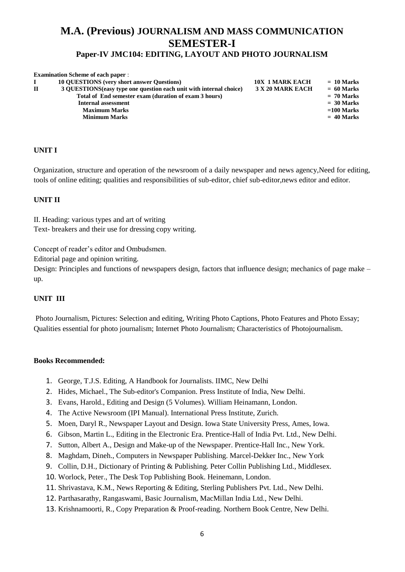# **M.A. (Previous) JOURNALISM AND MASS COMMUNICATION SEMESTER-I Paper-IV JMC104: EDITING, LAYOUT AND PHOTO JOURNALISM**

|             | <b>Examination Scheme of each paper:</b>                            |                        |              |
|-------------|---------------------------------------------------------------------|------------------------|--------------|
|             | <b>10 OUESTIONS</b> (very short answer Questions)                   | <b>10X 1 MARK EACH</b> | $= 10$ Marks |
| $\mathbf H$ | 3 OUESTIONS (easy type one question each unit with internal choice) | 3 X 20 MARK EACH       | $= 60$ Marks |
|             | Total of End semester exam (duration of exam 3 hours)               |                        | $= 70$ Marks |
|             | Internal assessment                                                 |                        | $= 30$ Marks |
|             | <b>Maximum Marks</b>                                                |                        | $=100$ Marks |
|             | <b>Minimum Marks</b>                                                |                        | $= 40$ Marks |
|             |                                                                     |                        |              |

# **UNIT I**

Organization, structure and operation of the newsroom of a daily newspaper and news agency,Need for editing, tools of online editing; qualities and responsibilities of sub-editor, chief sub-editor,news editor and editor.

# **UNIT II**

II. Heading: various types and art of writing Text- breakers and their use for dressing copy writing.

Concept of reader's editor and Ombudsmen.

Editorial page and opinion writing.

Design: Principles and functions of newspapers design, factors that influence design; mechanics of page make – up.

# **UNIT III**

Photo Journalism, Pictures: Selection and editing, Writing Photo Captions, Photo Features and Photo Essay; Qualities essential for photo journalism; Internet Photo Journalism; Characteristics of Photojournalism.

- 1. George, T.J.S. Editing, A Handbook for Journalists. IIMC, New Delhi
- 2. Hides, Michael., The Sub-editor's Companion. Press Institute of India, New Delhi.
- 3. Evans, Harold., Editing and Design (5 Volumes). William Heinamann, London.
- 4. The Active Newsroom (IPI Manual). International Press Institute, Zurich.
- 5. Moen, Daryl R., Newspaper Layout and Design. Iowa State University Press, Ames, Iowa.
- 6. Gibson, Martin L., Editing in the Electronic Era. Prentice-Hall of India Pvt. Ltd., New Delhi.
- 7. Sutton, Albert A., Design and Make-up of the Newspaper. Prentice-Hall Inc., New York.
- 8. Maghdam, Dineh., Computers in Newspaper Publishing. Marcel-Dekker Inc., New York
- 9. Collin, D.H., Dictionary of Printing & Publishing. Peter Collin Publishing Ltd., Middlesex.
- 10. Worlock, Peter., The Desk Top Publishing Book. Heinemann, London.
- 11. Shrivastava, K.M., News Reporting & Editing, Sterling Publishers Pvt. Ltd., New Delhi.
- 12. Parthasarathy, Rangaswami, Basic Journalism, MacMillan India Ltd., New Delhi.
- 13. Krishnamoorti, R., Copy Preparation & Proof-reading. Northern Book Centre, New Delhi.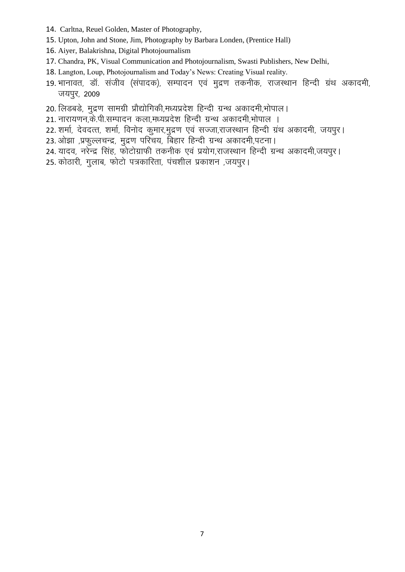- 14. Carltna, Reuel Golden, Master of Photography,
- 15. Upton, John and Stone, Jim, Photography by Barbara Londen, (Prentice Hall)
- 16. Aiyer, Balakrishna, Digital Photojournalism
- 17. Chandra, PK, Visual Communication and Photojournalism, Swasti Publishers, New Delhi,
- 18. Langton, Loup, Photojournalism and Today's News: Creating Visual reality.
- 19. भानावत, डॉ. संजीव (संपादक), सम्पादन एवं मुद्रण तकनीक, राजस्थान हिन्दी ग्रंथ अकादमी, जयपुर, 2009
- 20. लिडबडे, मुद्रण सामग्री प्रौद्योगिकी,मध्यप्रदेश हिन्दी ग्रन्थ अकादमी,भोपाल।
- 21. नारायणन,के.पी.सम्पादन कला,मध्यप्रदेश हिन्दी ग्रन्थ अकादमी,भोपाल ।
- 22. शर्मा, देवदत्त, शर्मा, विनोद कुमार,मुद्रण एवं सज्जा,राजस्थान हिन्दी ग्रंथ अकादमी, जयपुर।
- 23. ओझा ,प्रफुल्लचन्द्र, मुद्रण परिचय, बिहार हिन्दी ग्रन्थ अकादमी,पटना।
- 24. यादव, नरेन्द्र सिंह, फोटोग्राफी तकनीक एवं प्रयोग,राजस्थान हिन्दी ग्रन्थ अकादमी,जयपुर।
- 25. कोठारी, गुलाब, फोटो पत्रकारिता, पंचशील प्रकाशन ,जयपुर।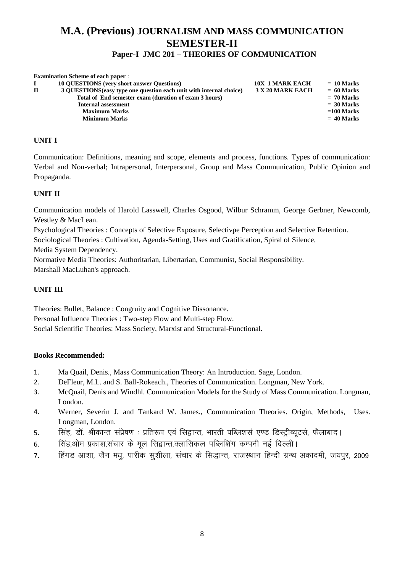# **M.A. (Previous) JOURNALISM AND MASS COMMUNICATION SEMESTER-II Paper-I JMC 201 – THEORIES OF COMMUNICATION**

| <b>Examination Scheme of each paper:</b>                            |                        |              |
|---------------------------------------------------------------------|------------------------|--------------|
| <b>10 OUESTIONS</b> (very short answer Questions)                   | <b>10X 1 MARK EACH</b> | $= 10$ Marks |
| 3 QUESTIONS (easy type one question each unit with internal choice) | 3 X 20 MARK EACH       | $= 60$ Marks |
| Total of End semester exam (duration of exam 3 hours)               |                        | $= 70$ Marks |
| <b>Internal assessment</b>                                          |                        | $= 30$ Marks |
| <b>Maximum Marks</b>                                                |                        | $=100$ Marks |
| <b>Minimum Marks</b>                                                |                        | $= 40$ Marks |
|                                                                     |                        |              |

# **UNIT I**

Communication: Definitions, meaning and scope, elements and process, functions. Types of communication: Verbal and Non-verbal; Intrapersonal, Interpersonal, Group and Mass Communication, Public Opinion and Propaganda.

# **UNIT II**

Communication models of Harold Lasswell, Charles Osgood, Wilbur Schramm, George Gerbner, Newcomb, Westley & MacLean.

Psychological Theories : Concepts of Selective Exposure, Selectivpe Perception and Selective Retention.

Sociological Theories : Cultivation, Agenda-Setting, Uses and Gratification, Spiral of Silence,

Media System Dependency.

Normative Media Theories: Authoritarian, Libertarian, Communist, Social Responsibility. Marshall MacLuhan's approach.

# **UNIT III**

Theories: Bullet, Balance : Congruity and Cognitive Dissonance. Personal Influence Theories : Two-step Flow and Multi-step Flow. Social Scientific Theories: Mass Society, Marxist and Structural-Functional.

- 1. Ma Quail, Denis., Mass Communication Theory: An Introduction. Sage, London.
- 2. DeFleur, M.L. and S. Ball-Rokeach., Theories of Communication. Longman, New York.
- 3. McQuail, Denis and Windhl. Communication Models for the Study of Mass Communication. Longman, London.
- 4. Werner, Severin J. and Tankard W. James., Communication Theories. Origin, Methods, Uses. Longman, London.
- 5. सिंह, डॉ. श्रीकान्त संप्रेषण : प्रतिरूप एवं सिद्वान्त, भारती पब्लिशर्स एण्ड डिस्ट्रीब्यूटर्स, फैलाबाद।
- 6. सिंह ओम प्रकाश संचार के मल सिद्वान्त क्लासिकल पब्लिशिंग कम्पनी नई दिल्ली।
- 7. हिंगड आशा, जैन मधू, पारीक सूशीला, संचार के सिद्धान्त, राजस्थान हिन्दी ग्रन्थ अकादमी, जयपुर, 2009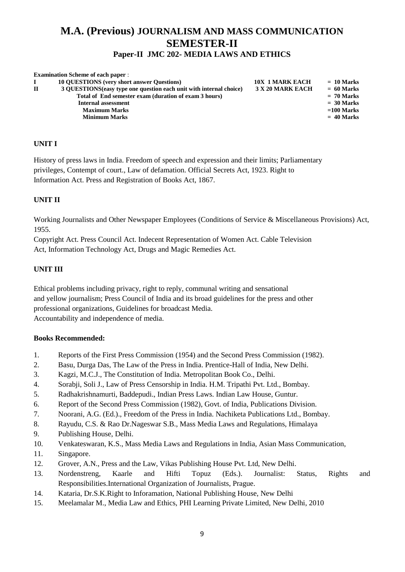# **M.A. (Previous) JOURNALISM AND MASS COMMUNICATION SEMESTER-II Paper-II JMC 202- MEDIA LAWS AND ETHICS**

|              | <b>Examination Scheme of each paper:</b>                            |                        |              |
|--------------|---------------------------------------------------------------------|------------------------|--------------|
|              | <b>10 OUESTIONS</b> (very short answer Questions)                   | <b>10X 1 MARK EACH</b> | $= 10$ Marks |
| $\mathbf{H}$ | 3 OUESTIONS (easy type one question each unit with internal choice) | 3 X 20 MARK EACH       | $= 60$ Marks |
|              | Total of End semester exam (duration of exam 3 hours)               |                        | $= 70$ Marks |
|              | Internal assessment                                                 |                        | $= 30$ Marks |
|              | <b>Maximum Marks</b>                                                |                        | $=100$ Marks |
|              | <b>Minimum Marks</b>                                                |                        | $= 40$ Marks |
|              |                                                                     |                        |              |

# **UNIT I**

History of press laws in India. Freedom of speech and expression and their limits; Parliamentary privileges, Contempt of court., Law of defamation. Official Secrets Act, 1923. Right to Information Act. Press and Registration of Books Act, 1867.

# **UNIT II**

Working Journalists and Other Newspaper Employees (Conditions of Service & Miscellaneous Provisions) Act, 1955.

Copyright Act. Press Council Act. Indecent Representation of Women Act. Cable Television Act, Information Technology Act, Drugs and Magic Remedies Act.

# **UNIT III**

Ethical problems including privacy, right to reply, communal writing and sensational and yellow journalism; Press Council of India and its broad guidelines for the press and other professional organizations, Guidelines for broadcast Media. Accountability and independence of media.

- 1. Reports of the First Press Commission (1954) and the Second Press Commission (1982).
- 2. Basu, Durga Das, The Law of the Press in India. Prentice-Hall of India, New Delhi.
- 3. Kagzi, M.C.J., The Constitution of India. Metropolitan Book Co., Delhi.
- 4. Sorabji, Soli J., Law of Press Censorship in India. H.M. Tripathi Pvt. Ltd., Bombay.
- 5. Radhakrishnamurti, Baddepudi., Indian Press Laws. Indian Law House, Guntur.
- 6. Report of the Second Press Commission (1982), Govt. of India, Publications Division.
- 7. Noorani, A.G. (Ed.)., Freedom of the Press in India. Nachiketa Publications Ltd., Bombay.
- 8. Rayudu, C.S. & Rao Dr.Nageswar S.B., Mass Media Laws and Regulations, Himalaya
- 9. Publishing House, Delhi.
- 10. Venkateswaran, K.S., Mass Media Laws and Regulations in India, Asian Mass Communication,
- 11. Singapore.
- 12. Grover, A.N., Press and the Law, Vikas Publishing House Pvt. Ltd, New Delhi.
- 13. Nordenstreng, Kaarle and Hifti Topuz (Eds.). Journalist: Status, Rights and Responsibilities.International Organization of Journalists, Prague.
- 14. Kataria, Dr.S.K.Right to Inforamation, National Publishing House, New Delhi
- 15. Meelamalar M., Media Law and Ethics, PHI Learning Private Limited, New Delhi, 2010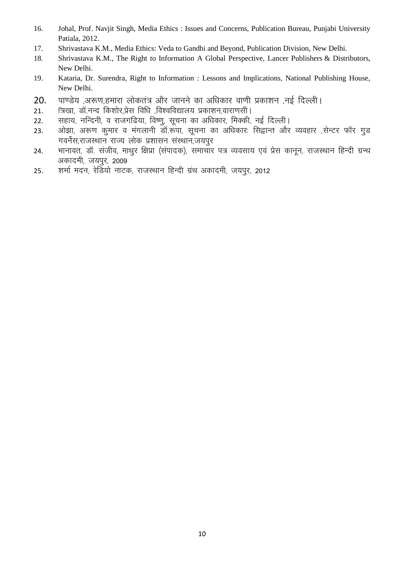- 16. Johal, Prof. Navjit Singh, Media Ethics : Issues and Concerns, Publication Bureau, Punjabi University Patiala, 2012.
- 17. Shrivastava K.M., Media Ethics: Veda to Gandhi and Beyond, Publication Division, New Delhi.
- 18. Shrivastava K.M., The Right to Information A Global Perspective, [Lancer Publishers](https://plus.google.com/116046281490330911982/about?gl=in&hl=en) & Distributors, New Delhi.
- 19. Kataria, Dr. Surendra, Right to Information : Lessons and Implications, National Publishing House, New Delhi.
- 20. पाण्डेय ,अरूण,हमारा लोकतंत्र और जानने का अधिकार वाणी प्रकाशन ,नई दिल्ली।
- 21. Fत्रिखा, डॉ.नन्द किशोर,प्रेस विधि ,विश्वविद्यालय प्रकाशन,वाराणसी ।
- 22. सहाय, नन्दिनी, व राजगढिया, विष्णु, सूचना का अधिकार, मिक्की, नई दिल्ली।
- 23. ओझा, अरूण कुमार व मंगलानी डॉ.रूंपा, सूचना का अधिकार: सिद्वान्त और व्यवहार ,सेन्टर फॉर गुड गवर्नेस,राजस्थान राज्य लोक प्रशासन संस्थान,जयपुर
- 24. भानावत, डॉ. संजीव, माथुर क्षिप्रा (संपादक), समाचार पत्र व्यवसाय एवं प्रेस कानून, राजस्थान हिन्दी ग्रन्थ अकादमी, जयपुर, 2009
- 25. शर्मा मदन, रेडियो नाटक, राजस्थान हिन्दी ग्रंथ अकादमी, जयपुर, 2012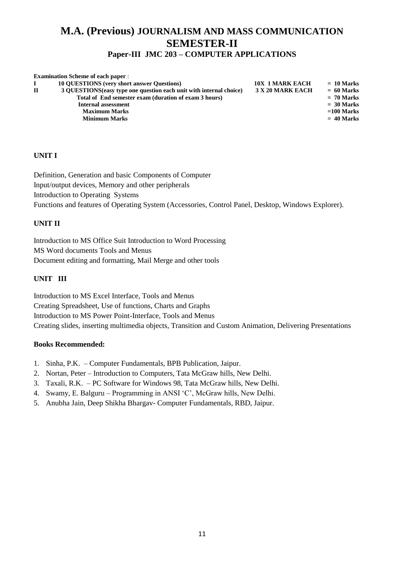# **M.A. (Previous) JOURNALISM AND MASS COMMUNICATION SEMESTER-II**

# **Paper-III JMC 203 – COMPUTER APPLICATIONS**

|              | <b>Examination Scheme of each paper:</b>                            |                        |              |
|--------------|---------------------------------------------------------------------|------------------------|--------------|
|              | <b>10 QUESTIONS</b> (very short answer Questions)                   | <b>10X 1 MARK EACH</b> | $= 10$ Marks |
| $\mathbf{H}$ | 3 OUESTIONS (easy type one question each unit with internal choice) | 3 X 20 MARK EACH       | $= 60$ Marks |
|              | Total of End semester exam (duration of exam 3 hours)               |                        | $= 70$ Marks |
|              | Internal assessment                                                 |                        | $= 30$ Marks |
|              | <b>Maximum Marks</b>                                                |                        | $=100$ Marks |
|              | <b>Minimum Marks</b>                                                |                        | $= 40$ Marks |
|              |                                                                     |                        |              |

# **UNIT I**

Definition, Generation and basic Components of Computer Input/output devices, Memory and other peripherals Introduction to Operating Systems Functions and features of Operating System (Accessories, Control Panel, Desktop, Windows Explorer).

# **UNIT II**

Introduction to MS Office Suit Introduction to Word Processing MS Word documents Tools and Menus Document editing and formatting, Mail Merge and other tools

# **UNIT III**

Introduction to MS Excel Interface, Tools and Menus Creating Spreadsheet, Use of functions, Charts and Graphs Introduction to MS Power Point-Interface, Tools and Menus Creating slides, inserting multimedia objects, Transition and Custom Animation, Delivering Presentations

- 1. Sinha, P.K. Computer Fundamentals, BPB Publication, Jaipur.
- 2. Nortan, Peter Introduction to Computers, Tata McGraw hills, New Delhi.
- 3. Taxali, R.K. PC Software for Windows 98, Tata McGraw hills, New Delhi.
- 4. Swamy, E. Balguru Programming in ANSI 'C', McGraw hills, New Delhi.
- 5. Anubha Jain, Deep Shikha Bhargav- Computer Fundamentals, RBD, Jaipur.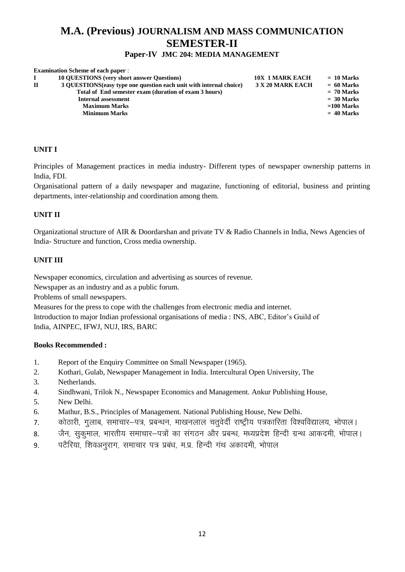# **M.A. (Previous) JOURNALISM AND MASS COMMUNICATION SEMESTER-II**

# **Paper-IV JMC 204: MEDIA MANAGEMENT**

|              | <b>Examination Scheme of each paper:</b>                            |                        |              |
|--------------|---------------------------------------------------------------------|------------------------|--------------|
|              | <b>10 OUESTIONS</b> (very short answer Questions)                   | <b>10X 1 MARK EACH</b> | $= 10$ Marks |
| $\mathbf{H}$ | 3 QUESTIONS (easy type one question each unit with internal choice) | 3 X 20 MARK EACH       | $= 60$ Marks |
|              | Total of End semester exam (duration of exam 3 hours)               |                        | $= 70$ Marks |
|              | Internal assessment                                                 |                        | $= 30$ Marks |
|              | <b>Maximum Marks</b>                                                |                        | $=100$ Marks |
|              | <b>Minimum Marks</b>                                                |                        | $= 40$ Marks |
|              |                                                                     |                        |              |

# **UNIT I**

Principles of Management practices in media industry- Different types of newspaper ownership patterns in India, FDI.

Organisational pattern of a daily newspaper and magazine, functioning of editorial, business and printing departments, inter-relationship and coordination among them.

# **UNIT II**

Organizational structure of AIR & Doordarshan and private TV & Radio Channels in India, News Agencies of India- Structure and function, Cross media ownership.

# **UNIT III**

Newspaper economics, circulation and advertising as sources of revenue.

Newspaper as an industry and as a public forum.

Problems of small newspapers.

Measures for the press to cope with the challenges from electronic media and internet.

Introduction to major Indian professional organisations of media : INS, ABC, Editor's Guild of India, AINPEC, IFWJ, NUJ, IRS, BARC

- 1. Report of the Enquiry Committee on Small Newspaper (1965).
- 2. Kothari, Gulab, Newspaper Management in India. Intercultural Open University, The
- 3. Netherlands.
- 4. Sindhwani, Trilok N., Newspaper Economics and Management. Ankur Publishing House,
- 5. New Delhi.
- 6. Mathur, B.S., Principles of Management. National Publishing House, New Delhi.
- 7. कोठारी, गुलाब, समाचार–पत्र, प्रबन्धन, माखनलाल चतुवेर्दी राष्ट्रीय पत्रकारिता विश्वविद्यालय, भोपाल।
- 8. वैन, सकुमाल, भारतीय समाचार–पत्रों का संगठन और प्रबन्ध, मध्यप्रदेश हिन्दी ग्रन्थ आकदमी, भोपाल।
- 9. पटैरिया, शिवअनुराग, समाचार पत्र प्रबंध, म.प्र. हिन्दी गंथ अकादमी, भोपाल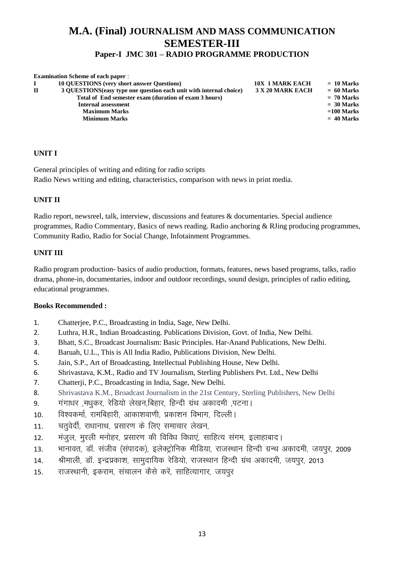# **M.A. (Final) JOURNALISM AND MASS COMMUNICATION SEMESTER-III Paper-I JMC 301 – RADIO PROGRAMME PRODUCTION**

|              | <b>Examination Scheme of each paper:</b>                            |                        |              |
|--------------|---------------------------------------------------------------------|------------------------|--------------|
|              | <b>10 QUESTIONS</b> (very short answer Questions)                   | <b>10X 1 MARK EACH</b> | $= 10$ Marks |
| $\mathbf{H}$ | 3 OUESTIONS (easy type one question each unit with internal choice) | 3 X 20 MARK EACH       | $= 60$ Marks |
|              | Total of End semester exam (duration of exam 3 hours)               |                        | $= 70$ Marks |
|              | Internal assessment                                                 |                        | $= 30$ Marks |
|              | <b>Maximum Marks</b>                                                |                        | $=100$ Marks |
|              | <b>Minimum Marks</b>                                                |                        | $= 40$ Marks |
|              |                                                                     |                        |              |

# **UNIT I**

General principles of writing and editing for radio scripts Radio News writing and editing, characteristics, comparison with news in print media.

# **UNIT II**

Radio report, newsreel, talk, interview, discussions and features & documentaries. Special audience programmes, Radio Commentary, Basics of news reading. Radio anchoring & RJing producing programmes, Community Radio, Radio for Social Change, Infotainment Programmes.

# **UNIT III**

Radio program production- basics of audio production, formats, features, news based programs, talks, radio drama, phone-in, documentaries, indoor and outdoor recordings, sound design, principles of radio editing, educational programmes.

- 1. Chatterjee, P.C., Broadcasting in India, Sage, New Delhi.
- 2. Luthra, H.R., Indian Broadcasting. Publications Division, Govt. of India, New Delhi.
- 3. Bhatt, S.C., Broadcast Journalism: Basic Principles. Har-Anand Publications, New Delhi.
- 4. Baruah, U.L., This is All India Radio, Publications Division, New Delhi.
- 5. Jain, S.P., Art of Broadcasting, Intellectual Publishing House, New Delhi.
- 6. Shrivastava, K.M., Radio and TV Journalism, Sterling Publishers Pvt. Ltd., New Delhi
- 7. Chatterji, P.C., Broadcasting in India, Sage, New Delhi.
- 8. Shrivastava K.M., Broadcast Journalism in the 21st Century, Sterling Publishers, New Delhi
- 9. गंगाधर ,मधकर, रेडियो लेखन,बिहार, हिन्दी ग्रंथ अकादमी ,पटना।
- 10. विश्वकर्मा, रामबिहारी, आकाशवाणी, प्रकाशन विभाग, दिल्ली I
- 11. व्यतवेर्दी, राधानाथ, प्रसारण के लिए समाचार लेखन,
- 12. मंजल, मरली मनोहर, प्रसारण की विविध विधाएं, साहित्य संगम, इलाहाबाद।
- 13. भानावत, डॉ. संजीव (संपादक), इलेक्ट्रोनिक मीडिया, राजस्थान हिन्दी ग्रन्थ अकादमी, जयपुर, 2009
- 14. श्रीमाली, डॉ. इन्द्रप्रकाश, सामुदायिक रेडियो, राजस्थान हिन्दी ग्रंथ अकादमी, जयपुर, 2013
- 15. राजस्थानी, इकराम, संचालन कैसे करें, साहित्यागार, जयपुर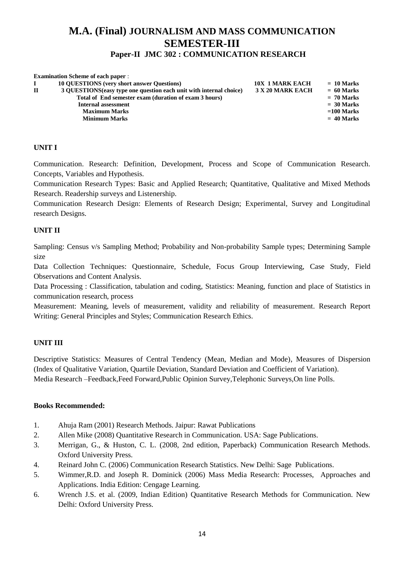# **M.A. (Final) JOURNALISM AND MASS COMMUNICATION SEMESTER-III**

# **Paper-II JMC 302 : COMMUNICATION RESEARCH**

|              | <b>Examination Scheme of each paper:</b>                            |                  |              |
|--------------|---------------------------------------------------------------------|------------------|--------------|
|              | <b>10 OUESTIONS</b> (very short answer Questions)                   | 10X 1 MARK EACH  | $= 10$ Marks |
| $\mathbf{H}$ | 3 QUESTIONS (easy type one question each unit with internal choice) | 3 X 20 MARK EACH | $= 60$ Marks |
|              | Total of End semester exam (duration of exam 3 hours)               |                  | $= 70$ Marks |
|              | <b>Internal assessment</b>                                          |                  | $= 30$ Marks |
|              | <b>Maximum Marks</b>                                                |                  | $=100$ Marks |
|              | <b>Minimum Marks</b>                                                |                  | $= 40$ Marks |
|              |                                                                     |                  |              |

# **UNIT I**

Communication. Research: Definition, Development, Process and Scope of Communication Research. Concepts, Variables and Hypothesis.

Communication Research Types: Basic and Applied Research; Quantitative, Qualitative and Mixed Methods Research. Readership surveys and Listenership.

Communication Research Design: Elements of Research Design; Experimental, Survey and Longitudinal research Designs.

# **UNIT II**

Sampling: Census v/s Sampling Method; Probability and Non-probability Sample types; Determining Sample size

Data Collection Techniques: Questionnaire, Schedule, Focus Group Interviewing, Case Study, Field Observations and Content Analysis.

Data Processing : Classification, tabulation and coding, Statistics: Meaning, function and place of Statistics in communication research, process

Measurement: Meaning, levels of measurement, validity and reliability of measurement. Research Report Writing: General Principles and Styles; Communication Research Ethics.

# **UNIT III**

Descriptive Statistics: Measures of Central Tendency (Mean, Median and Mode), Measures of Dispersion (Index of Qualitative Variation, Quartile Deviation, Standard Deviation and Coefficient of Variation). Media Research –Feedback,Feed Forward,Public Opinion Survey,Telephonic Surveys,On line Polls.

- 1. Ahuja Ram (2001) Research Methods. Jaipur: Rawat Publications
- 2. Allen Mike (2008) Quantitative Research in Communication. USA: Sage Publications.
- 3. Merrigan, G., & Huston, C. L. (2008, 2nd edition, Paperback) Communication Research Methods. Oxford University Press.
- 4. Reinard John C. (2006) Communication Research Statistics. New Delhi: Sage Publications.
- 5. Wimmer,R.D. and Joseph R. Dominick (2006) Mass Media Research: Processes, Approaches and Applications. India Edition: Cengage Learning.
- 6. Wrench J.S. et al. (2009, Indian Edition) Quantitative Research Methods for Communication. New Delhi: Oxford University Press.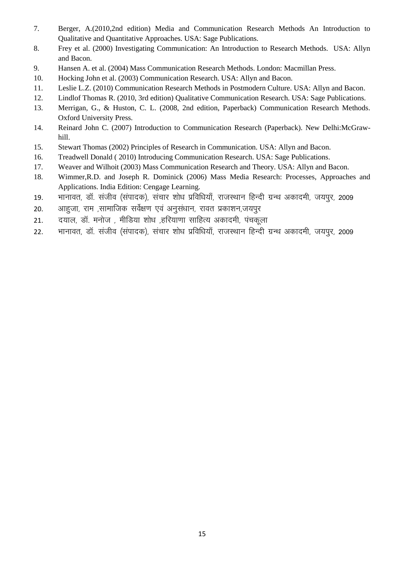- 7. Berger, A.(2010,2nd edition) Media and Communication Research Methods An Introduction to Qualitative and Quantitative Approaches. USA: Sage Publications.
- 8. Frey et al. (2000) Investigating Communication: An Introduction to Research Methods. USA: Allyn and Bacon.
- 9. Hansen A. et al. (2004) Mass Communication Research Methods. London: Macmillan Press.
- 10. Hocking John et al. (2003) Communication Research. USA: Allyn and Bacon.
- 11. Leslie L.Z. (2010) Communication Research Methods in Postmodern Culture. USA: Allyn and Bacon.
- 12. Lindlof Thomas R. (2010, 3rd edition) Qualitative Communication Research. USA: Sage Publications.
- 13. Merrigan, G., & Huston, C. L. (2008, 2nd edition, Paperback) Communication Research Methods. Oxford University Press.
- 14. Reinard John C. (2007) Introduction to Communication Research (Paperback). New Delhi:McGrawhill.
- 15. Stewart Thomas (2002) Principles of Research in Communication. USA: Allyn and Bacon.
- 16. Treadwell Donald ( 2010) Introducing Communication Research. USA: Sage Publications.
- 17. Weaver and Wilhoit (2003) Mass Communication Research and Theory. USA: Allyn and Bacon.
- 18. Wimmer,R.D. and Joseph R. Dominick (2006) Mass Media Research: Processes, Approaches and Applications. India Edition: Cengage Learning.
- 19. भानावत, डॉ. संजीव (संपादक), संचार शोध प्रविधियाँ, राजस्थान हिन्दी ग्रन्थ अकादमी, जयपुर, 2009
- 20. आहजा, राम ,सामाजिक सर्वेक्षण एवं अनसंधान, रावत प्रकाशन,जयपर
- 21. दयाल, डॉ. मनोज, मीडिया शोध, हरियाणा साहित्य अकादमी, पंचकला
- 22. भानावत, डॉ. संजीव (संपादक), संचार शोध प्रविधियाँ, राजस्थान हिन्दी ग्रन्थ अकादमी, जयपुर, 2009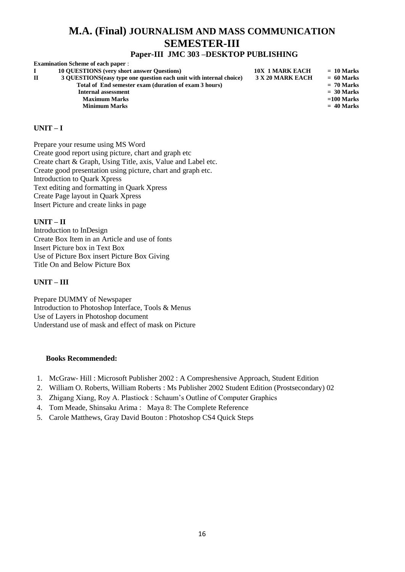# **M.A. (Final) JOURNALISM AND MASS COMMUNICATION SEMESTER-III**

# **Paper-III JMC 303 –DESKTOP PUBLISHING**

| <b>Examination Scheme of each paper:</b>                            |                        |              |
|---------------------------------------------------------------------|------------------------|--------------|
| <b>10 OUESTIONS</b> (very short answer Questions)                   | <b>10X 1 MARK EACH</b> | $= 10$ Marks |
| 3 OUESTIONS (easy type one question each unit with internal choice) | 3 X 20 MARK EACH       | $= 60$ Marks |
| Total of End semester exam (duration of exam 3 hours)               |                        | $= 70$ Marks |
| Internal assessment                                                 |                        | $= 30$ Marks |
| <b>Maximum Marks</b>                                                |                        | $=100$ Marks |
| <b>Minimum Marks</b>                                                |                        | $= 40$ Marks |
|                                                                     |                        |              |

#### **UNIT – I**

Prepare your resume using MS Word Create good report using picture, chart and graph etc Create chart & Graph, Using Title, axis, Value and Label etc. Create good presentation using picture, chart and graph etc. Introduction to Quark Xpress Text editing and formatting in Quark Xpress Create Page layout in Quark Xpress Insert Picture and create links in page

#### **UNIT – II**

Introduction to InDesign Create Box Item in an Article and use of fonts Insert Picture box in Text Box Use of Picture Box insert Picture Box Giving Title On and Below Picture Box

#### **UNIT – III**

Prepare DUMMY of Newspaper Introduction to Photoshop Interface, Tools & Menus Use of Layers in Photoshop document Understand use of mask and effect of mask on Picture

- 1. McGraw- Hill : Microsoft Publisher 2002 : A Compreshensive Approach, Student Edition
- 2. William O. Roberts, William Roberts : Ms Publisher 2002 Student Edition (Prostsecondary) 02
- 3. Zhigang Xiang, Roy A. Plastiock : Schaum's Outline of Computer Graphics
- 4. Tom Meade, Shinsaku Arima : Maya 8: The Complete Reference
- 5. Carole Matthews, Gray David Bouton : Photoshop CS4 Quick Steps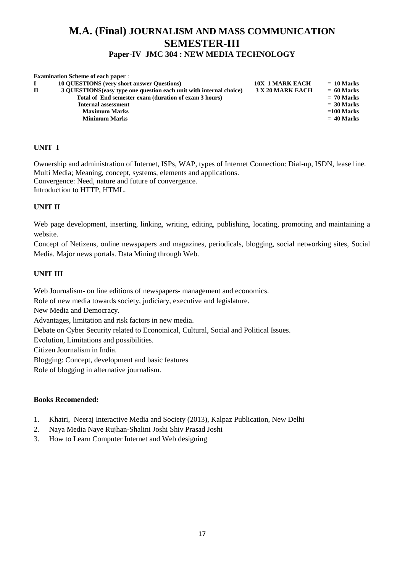# **M.A. (Final) JOURNALISM AND MASS COMMUNICATION SEMESTER-III**

# **Paper-IV JMC 304 : NEW MEDIA TECHNOLOGY**

|              | <b>Examination Scheme of each paper:</b>                            |                        |              |
|--------------|---------------------------------------------------------------------|------------------------|--------------|
|              | <b>10 OUESTIONS</b> (very short answer Ouestions)                   | <b>10X 1 MARK EACH</b> | $= 10$ Marks |
| $\mathbf{H}$ | 3 OUESTIONS (easy type one question each unit with internal choice) | 3 X 20 MARK EACH       | $= 60$ Marks |
|              | Total of End semester exam (duration of exam 3 hours)               |                        | $= 70$ Marks |
|              | <b>Internal assessment</b>                                          |                        | $= 30$ Marks |
|              | <b>Maximum Marks</b>                                                |                        | $=100$ Marks |
|              | <b>Minimum Marks</b>                                                |                        | $= 40$ Marks |
|              |                                                                     |                        |              |

# **UNIT I**

Ownership and administration of Internet, ISPs, WAP, types of Internet Connection: Dial-up, ISDN, lease line. Multi Media; Meaning, concept, systems, elements and applications. Convergence: Need, nature and future of convergence. Introduction to HTTP, HTML.

# **UNIT II**

Web page development, inserting, linking, writing, editing, publishing, locating, promoting and maintaining a website.

Concept of Netizens, online newspapers and magazines, periodicals, blogging, social networking sites, Social Media. Major news portals. Data Mining through Web.

#### **UNIT III**

Web Journalism- on line editions of newspapers- management and economics.

Role of new media towards society, judiciary, executive and legislature.

New Media and Democracy.

Advantages, limitation and risk factors in new media.

Debate on Cyber Security related to Economical, Cultural, Social and Political Issues.

Evolution, Limitations and possibilities.

Citizen Journalism in India.

Blogging: Concept, development and basic features

Role of blogging in alternative journalism.

- 1. Khatri, Neeraj Interactive Media and Society (2013), Kalpaz Publication, New Delhi
- 2. Naya Media Naye Rujhan-Shalini Joshi Shiv Prasad Joshi
- 3. How to Learn Computer Internet and Web designing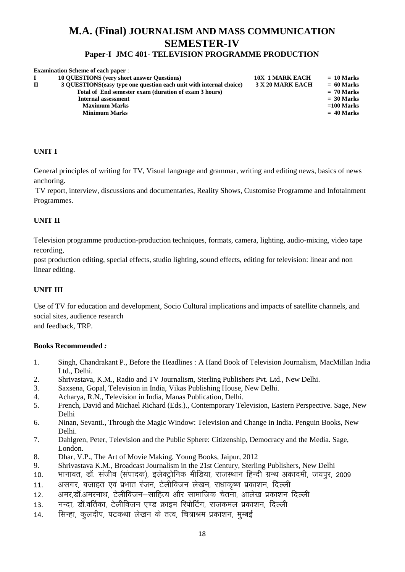# **M.A. (Final) JOURNALISM AND MASS COMMUNICATION SEMESTER-IV**

# **Paper-I JMC 401- TELEVISION PROGRAMME PRODUCTION**

|              | <b>Examination Scheme of each paper:</b>                            |                        |              |
|--------------|---------------------------------------------------------------------|------------------------|--------------|
|              | <b>10 OUESTIONS</b> (very short answer Questions)                   | <b>10X 1 MARK EACH</b> | $= 10$ Marks |
| $\mathbf{H}$ | 3 QUESTIONS (easy type one question each unit with internal choice) | 3 X 20 MARK EACH       | $= 60$ Marks |
|              | Total of End semester exam (duration of exam 3 hours)               |                        | $= 70$ Marks |
|              | Internal assessment                                                 |                        | $= 30$ Marks |
|              | <b>Maximum Marks</b>                                                |                        | $=100$ Marks |
|              | <b>Minimum Marks</b>                                                |                        | $= 40$ Marks |
|              |                                                                     |                        |              |

# **UNIT I**

General principles of writing for TV, Visual language and grammar, writing and editing news, basics of news anchoring.

TV report, interview, discussions and documentaries, Reality Shows, Customise Programme and Infotainment Programmes.

# **UNIT II**

Television programme production-production techniques, formats, camera, lighting, audio-mixing, video tape recording,

post production editing, special effects, studio lighting, sound effects, editing for television: linear and non linear editing.

# **UNIT III**

Use of TV for education and development, Socio Cultural implications and impacts of satellite channels, and social sites, audience research and feedback, TRP.

- 1. Singh, Chandrakant P., Before the Headlines : A Hand Book of Television Journalism, MacMillan India Ltd., Delhi.
- 2. Shrivastava, K.M., Radio and TV Journalism, Sterling Publishers Pvt. Ltd., New Delhi.
- 3. Saxsena, Gopal, Television in India, Vikas Publishing House, New Delhi.
- 4. Acharya, R.N., Television in India, Manas Publication, Delhi.
- 5. French, David and Michael Richard (Eds.)., Contemporary Television, Eastern Perspective. Sage, New Delhi
- 6. Ninan, Sevanti., Through the Magic Window: Television and Change in India. Penguin Books, New Delhi.
- 7. Dahlgren, Peter, Television and the Public Sphere: Citizenship, Democracy and the Media. Sage, London.
- 8. Dhar, V.P., The Art of Movie Making, Young Books, Jaipur, 2012
- 9. Shrivastava K.M., Broadcast Journalism in the 21st Century, Sterling Publishers, New Delhi
- 10. भानावत, डॉ. संजीव (संपादक), इलेक्टोनिक मीडिया, राजस्थान हिन्दी ग्रन्थ अकादमी, जयपर, 2009
- 11. असगर, बजाहत एवं प्रभात रंजन, टेलीविजन लेखन, राधाकृष्ण प्रकाशन, दिल्ली
- 12. अमर.डॉ.अमरनाथ, टेलीविजन–साहित्य और सामाजिक चेतना, आलेख प्रकाशन दिल्ली
- 13. मन्दा, डॉ.वर्तिका, टेलीविजन एण्ड क्राइम रिपोर्टिंग, राजकमल प्रकाशन, दिल्ली
- 14. सिन्हा, कुलदीप, पटकथा लेखन के तत्व, चित्राश्रम प्रकाशन, मुम्बई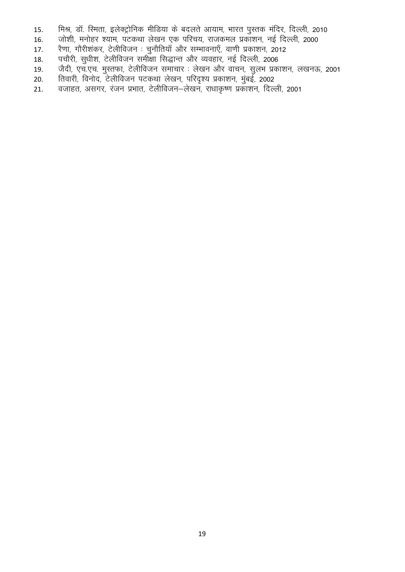- 15. मिश्र, डॉ. रिमता, इलेक्ट्रोनिक मीडिया के बदलते आयाम, भारत पुस्तक मंदिर, दिल्ली, 2010
- 15. the first of the second in the model is the control of the second in the second in the second is the secon<br>16. जोशी, मनोहर श्याम, पटकथा लेखन एक परिचय, राजकमल प्रकाशन, नई दिल्ली, 2000
- 17. रैणा, गौरीशंकर, टेलीविजन : चुनौतियाँ और सम्भावनाएँ, वाणी प्रकाशन, 2012
- 18. पचौरी, सुधीश, टेलीविजन समीक्षा सिद्धान्त और व्यवहार, नई दिल्ली, 2006
- 19. जैदी, एच.एच. मुस्तफा, टेलीविजन समाचार : लेखन और वाचन, सुलभ प्रकाशन, लखनऊ, 2001
- 20. तिवारी, विनोद, टेलीविजन पटकथा लेखन, परिदृश्य प्रकाशन, मुंबई, 2002
- 21. वजाहत, असगर, रंजन प्रभात, टेलीविजन—लेखन, राधाकृष्ण प्रकाशन, दिल्ली, 2001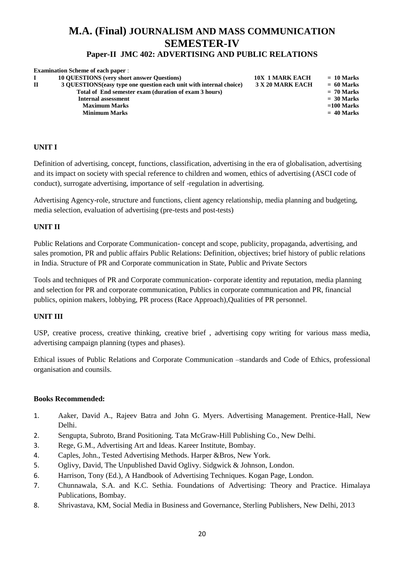# **M.A. (Final) JOURNALISM AND MASS COMMUNICATION SEMESTER-IV**

# **Paper-II JMC 402: ADVERTISING AND PUBLIC RELATIONS**

|              | <b>Examination Scheme of each paper:</b>                            |                        |              |
|--------------|---------------------------------------------------------------------|------------------------|--------------|
|              | <b>10 OUESTIONS</b> (very short answer Questions)                   | <b>10X 1 MARK EACH</b> | $= 10$ Marks |
| $\mathbf{H}$ | 3 OUESTIONS (easy type one question each unit with internal choice) | 3 X 20 MARK EACH       | $= 60$ Marks |
|              | Total of End semester exam (duration of exam 3 hours)               |                        | $= 70$ Marks |
|              | <b>Internal assessment</b>                                          |                        | $= 30$ Marks |
|              | <b>Maximum Marks</b>                                                |                        | $=100$ Marks |
|              | <b>Minimum Marks</b>                                                |                        | $= 40$ Marks |
|              |                                                                     |                        |              |

# **UNIT I**

Definition of advertising, concept, functions, classification, advertising in the era of globalisation, advertising and its impact on society with special reference to children and women, ethics of advertising (ASCI code of conduct), surrogate advertising, importance of self -regulation in advertising.

Advertising Agency-role, structure and functions, client agency relationship, media planning and budgeting, media selection, evaluation of advertising (pre-tests and post-tests)

# **UNIT II**

Public Relations and Corporate Communication- concept and scope, publicity, propaganda, advertising, and sales promotion, PR and public affairs Public Relations: Definition, objectives; brief history of public relations in India. Structure of PR and Corporate communication in State, Public and Private Sectors

Tools and techniques of PR and Corporate communication- corporate identity and reputation, media planning and selection for PR and corporate communication, Publics in corporate communication and PR, financial publics, opinion makers, lobbying, PR process (Race Approach),Qualities of PR personnel.

# **UNIT III**

USP, creative process, creative thinking, creative brief , advertising copy writing for various mass media, advertising campaign planning (types and phases).

Ethical issues of Public Relations and Corporate Communication –standards and Code of Ethics, professional organisation and counsils.

- 1. Aaker, David A., Rajeev Batra and John G. Myers. Advertising Management. Prentice-Hall, New Delhi.
- 2. Sengupta, Subroto, Brand Positioning. Tata McGraw-Hill Publishing Co., New Delhi.
- 3. Rege, G.M., Advertising Art and Ideas. Kareer Institute, Bombay.
- 4. Caples, John., Tested Advertising Methods. Harper &Bros, New York.
- 5. Oglivy, David, The Unpublished David Oglivy. Sidgwick & Johnson, London.
- 6. Harrison, Tony (Ed.), A Handbook of Advertising Techniques. Kogan Page, London.
- 7. Chunnawala, S.A. and K.C. Sethia. Foundations of Advertising: Theory and Practice. Himalaya Publications, Bombay.
- 8. Shrivastava, KM, Social Media in Business and Governance, Sterling Publishers, New Delhi, 2013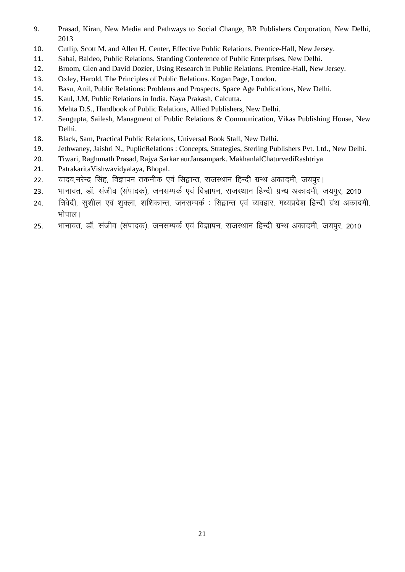- 9. Prasad, Kiran, New Media and Pathways to Social Change, BR Publishers Corporation, New Delhi, 2013
- 10. Cutlip, Scott M. and Allen H. Center, Effective Public Relations. Prentice-Hall, New Jersey.
- 11. Sahai, Baldeo, Public Relations. Standing Conference of Public Enterprises, New Delhi.
- 12. Broom, Glen and David Dozier, Using Research in Public Relations. Prentice-Hall, New Jersey.
- 13. Oxley, Harold, The Principles of Public Relations. Kogan Page, London.
- 14. Basu, Anil, Public Relations: Problems and Prospects. Space Age Publications, New Delhi.
- 15. Kaul, J.M, Public Relations in India. Naya Prakash, Calcutta.
- 16. Mehta D.S., Handbook of Public Relations, Allied Publishers, New Delhi.
- 17. Sengupta, Sailesh, Managment of Public Relations & Communication, Vikas Publishing House, New Delhi.
- 18. Black, Sam, Practical Public Relations, Universal Book Stall, New Delhi.
- 19. Jethwaney, Jaishri N., PuplicRelations : Concepts, Strategies, Sterling Publishers Pvt. Ltd., New Delhi.
- 20. Tiwari, Raghunath Prasad, Rajya Sarkar aurJansampark. MakhanlalChaturvediRashtriya
- 21. PatrakaritaVishwavidyalaya, Bhopal.
- 22. यादव.नरेन्द्र सिंह. विज्ञापन तकनीक एवं सिद्वान्त, राजस्थान हिन्दी ग्रन्थ अकादमी, जयपर।
- 23. भानावत, डॉ. संजीव (संपादक), जनसम्पर्क एवं विज्ञापन, राजस्थान हिन्दी ग्रन्थ अकादमी, जयपुर, 2010
- 24. त्रिवेदी, सुशील एवं शुक्ला, शशिकान्त, जनसम्पर्क : सिद्वान्त एवं व्यवहार, मध्यप्रदेश हिन्दी ग्रंथ अकादमी, भोपाल ।
- 25. भानावत, डॉ. संजीव (संपादक), जनसम्पर्क एवं विज्ञापन, राजस्थान हिन्दी ग्रन्थ अकादमी, जयपुर, 2010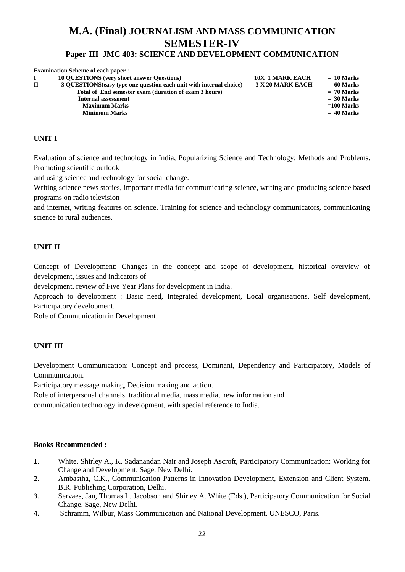# **M.A. (Final) JOURNALISM AND MASS COMMUNICATION SEMESTER-IV**

#### **Paper-III JMC 403: SCIENCE AND DEVELOPMENT COMMUNICATION**

|              | <b>Examination Scheme of each paper:</b>                            |                        |              |
|--------------|---------------------------------------------------------------------|------------------------|--------------|
|              | <b>10 QUESTIONS</b> (very short answer Questions)                   | <b>10X 1 MARK EACH</b> | $= 10$ Marks |
| $\mathbf{H}$ | 3 OUESTIONS (easy type one question each unit with internal choice) | 3 X 20 MARK EACH       | $= 60$ Marks |
|              | Total of End semester exam (duration of exam 3 hours)               |                        | $= 70$ Marks |
|              | <b>Internal assessment</b>                                          |                        | $= 30$ Marks |
|              | <b>Maximum Marks</b>                                                |                        | $=100$ Marks |
|              | <b>Minimum Marks</b>                                                |                        | $= 40$ Marks |
|              |                                                                     |                        |              |

#### **UNIT I**

Evaluation of science and technology in India, Popularizing Science and Technology: Methods and Problems. Promoting scientific outlook

and using science and technology for social change.

Writing science news stories, important media for communicating science, writing and producing science based programs on radio television

and internet, writing features on science, Training for science and technology communicators, communicating science to rural audiences.

#### **UNIT II**

Concept of Development: Changes in the concept and scope of development, historical overview of development, issues and indicators of

development, review of Five Year Plans for development in India.

Approach to development : Basic need, Integrated development, Local organisations, Self development, Participatory development.

Role of Communication in Development.

# **UNIT III**

Development Communication: Concept and process, Dominant, Dependency and Participatory, Models of Communication.

Participatory message making, Decision making and action.

Role of interpersonal channels, traditional media, mass media, new information and communication technology in development, with special reference to India.

- 1. White, Shirley A., K. Sadanandan Nair and Joseph Ascroft, Participatory Communication: Working for Change and Development. Sage, New Delhi.
- 2. Ambastha, C.K., Communication Patterns in Innovation Development, Extension and Client System. B.R. Publishing Corporation, Delhi.
- 3. Servaes, Jan, Thomas L. Jacobson and Shirley A. White (Eds.), Participatory Communication for Social Change. Sage, New Delhi.
- 4. Schramm, Wilbur, Mass Communication and National Development. UNESCO, Paris.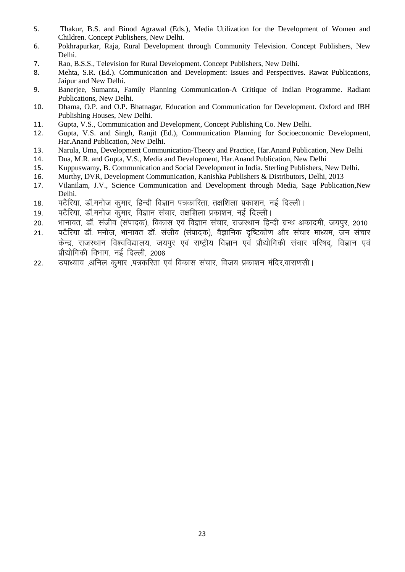- 5. Thakur, B.S. and Binod Agrawal (Eds.), Media Utilization for the Development of Women and Children. Concept Publishers, New Delhi.
- 6. Pokhrapurkar, Raja, Rural Development through Community Television. Concept Publishers, New Delhi.
- 7. Rao, B.S.S., Television for Rural Development. Concept Publishers, New Delhi.
- 8. Mehta, S.R. (Ed.). Communication and Development: Issues and Perspectives. Rawat Publications, Jaipur and New Delhi.
- 9. Banerjee, Sumanta, Family Planning Communication-A Critique of Indian Programme. Radiant Publications, New Delhi.
- 10. Dhama, O.P. and O.P. Bhatnagar, Education and Communication for Development. Oxford and IBH Publishing Houses, New Delhi.
- 11. Gupta, V.S., Communication and Development, Concept Publishing Co. New Delhi.
- 12. Gupta, V.S. and Singh, Ranjit (Ed.), Communication Planning for Socioeconomic Development, Har.Anand Publication, New Delhi.
- 13. Narula, Uma, Development Communication-Theory and Practice, Har.Anand Publication, New Delhi
- 14. Dua, M.R. and Gupta, V.S., Media and Development, Har.Anand Publication, New Delhi
- 15. Kuppuswamy, B. Communication and Social Development in India. Sterling Publishers, New Delhi.
- 16. Murthy, DVR, Development Communication, Kanishka Publishers & Distributors, Delhi, 2013
- 17. Vilanilam, J.V., Science Communication and Development through Media, Sage Publication,New Delhi.
- 18. पटैरिया, डॉ.मनोज कुमार, हिन्दी विज्ञान पत्रकारिता, तक्षशिला प्रकाशन, नई दिल्ली।
- <u>19. पटैरिया, डॉ.मनोज कुमार, विज्ञान संचार, तक्षशिला प्रकाशन, नई दिल्ली।</u>
- 20. भानावत, डॉ. संजीव (संपादक), विकास एवं विज्ञान संचार, राजस्थान हिन्दी ग्रन्थ अकादमी, जयपुर, 2010
- 21. पटैरिया डॉ. मनोज, भानावत डॉ. संजीव (संपादक), वैज्ञानिक दृष्टिकोण और संचार माध्यम, जन संचार केन्द्र, राजस्थान विश्वविद्यालय, जयपर एवं राष्ट्रीय विज्ञान एवं प्रौद्योगिकी संचार परिषद, विज्ञान एवं प्रौद्योगिकी विभाग, नई दिल्ली, 2006
- 22. जपाध्याय ,अनिल कुमार ,पत्रकरिता एवं विकास संचार, विजय प्रकाशन मंदिर,वाराणसी।